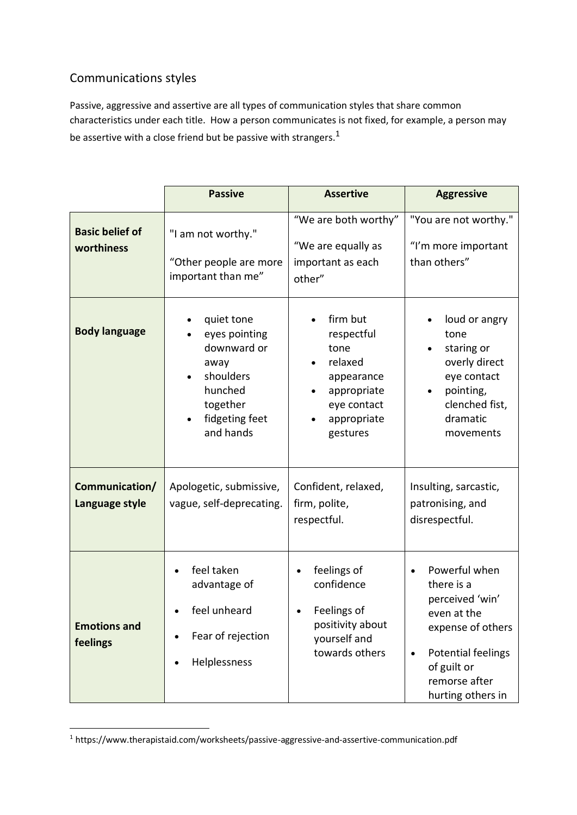# Communications styles

-

Passive, aggressive and assertive are all types of communication styles that share common characteristics under each title. How a person communicates is not fixed, for example, a person may be assertive with a close friend but be passive with strangers.<sup>1</sup>

|                                      | <b>Passive</b>                                                                                                        | <b>Assertive</b>                                                                                                 | <b>Aggressive</b>                                                                                                                                                                 |
|--------------------------------------|-----------------------------------------------------------------------------------------------------------------------|------------------------------------------------------------------------------------------------------------------|-----------------------------------------------------------------------------------------------------------------------------------------------------------------------------------|
| <b>Basic belief of</b><br>worthiness | "I am not worthy."<br>"Other people are more<br>important than me"                                                    | "We are both worthy"<br>"We are equally as<br>important as each<br>other"                                        | "You are not worthy."<br>"I'm more important<br>than others"                                                                                                                      |
| <b>Body language</b>                 | quiet tone<br>eyes pointing<br>downward or<br>away<br>shoulders<br>hunched<br>together<br>fidgeting feet<br>and hands | firm but<br>respectful<br>tone<br>relaxed<br>appearance<br>appropriate<br>eye contact<br>appropriate<br>gestures | loud or angry<br>tone<br>staring or<br>overly direct<br>eye contact<br>pointing,<br>clenched fist,<br>dramatic<br>movements                                                       |
| Communication/<br>Language style     | Apologetic, submissive,<br>vague, self-deprecating.                                                                   | Confident, relaxed,<br>firm, polite,<br>respectful.                                                              | Insulting, sarcastic,<br>patronising, and<br>disrespectful.                                                                                                                       |
| <b>Emotions and</b><br>feelings      | feel taken<br>advantage of<br>feel unheard<br>Fear of rejection<br>Helplessness                                       | feelings of<br>confidence<br>Feelings of<br>positivity about<br>yourself and<br>towards others                   | Powerful when<br>$\bullet$<br>there is a<br>perceived 'win'<br>even at the<br>expense of others<br><b>Potential feelings</b><br>of guilt or<br>remorse after<br>hurting others in |

<sup>&</sup>lt;sup>1</sup> https://www.therapistaid.com/worksheets/passive-aggressive-and-assertive-communication.pdf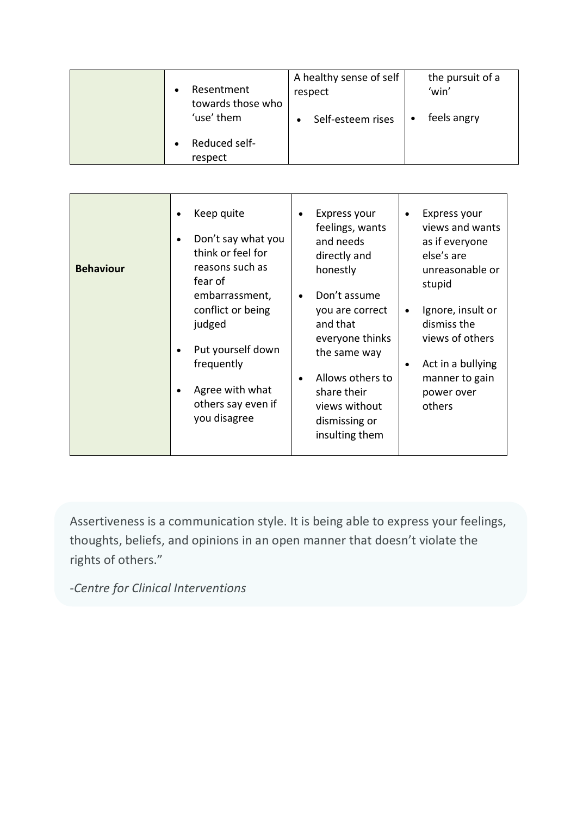| Resentment<br>towards those who | A healthy sense of self<br>respect | the pursuit of a<br>'win' |
|---------------------------------|------------------------------------|---------------------------|
| 'use' them                      | Self-esteem rises                  | feels angry               |
| Reduced self-<br>respect        |                                    |                           |

| Keep quite<br>Don't say what you<br>think or feel for<br>reasons such as<br><b>Behaviour</b><br>fear of<br>embarrassment,<br>conflict or being<br>judged<br>Put yourself down<br>$\bullet$<br>frequently<br>Agree with what<br>others say even if<br>you disagree | Express your<br>$\bullet$<br>feelings, wants<br>and needs<br>directly and<br>honestly<br>Don't assume<br>$\bullet$<br>you are correct<br>and that<br>everyone thinks<br>the same way<br>Allows others to<br>$\bullet$<br>share their<br>views without<br>dismissing or<br>insulting them | Express your<br>views and wants<br>as if everyone<br>else's are<br>unreasonable or<br>stupid<br>Ignore, insult or<br>$\bullet$<br>dismiss the<br>views of others<br>Act in a bullying<br>٠<br>manner to gain<br>power over<br>others |
|-------------------------------------------------------------------------------------------------------------------------------------------------------------------------------------------------------------------------------------------------------------------|------------------------------------------------------------------------------------------------------------------------------------------------------------------------------------------------------------------------------------------------------------------------------------------|--------------------------------------------------------------------------------------------------------------------------------------------------------------------------------------------------------------------------------------|
|-------------------------------------------------------------------------------------------------------------------------------------------------------------------------------------------------------------------------------------------------------------------|------------------------------------------------------------------------------------------------------------------------------------------------------------------------------------------------------------------------------------------------------------------------------------------|--------------------------------------------------------------------------------------------------------------------------------------------------------------------------------------------------------------------------------------|

Assertiveness is a communication style. It is being able to express your feelings, thoughts, beliefs, and opinions in an open manner that doesn't violate the rights of others."

*-Centre for Clinical Interventions*